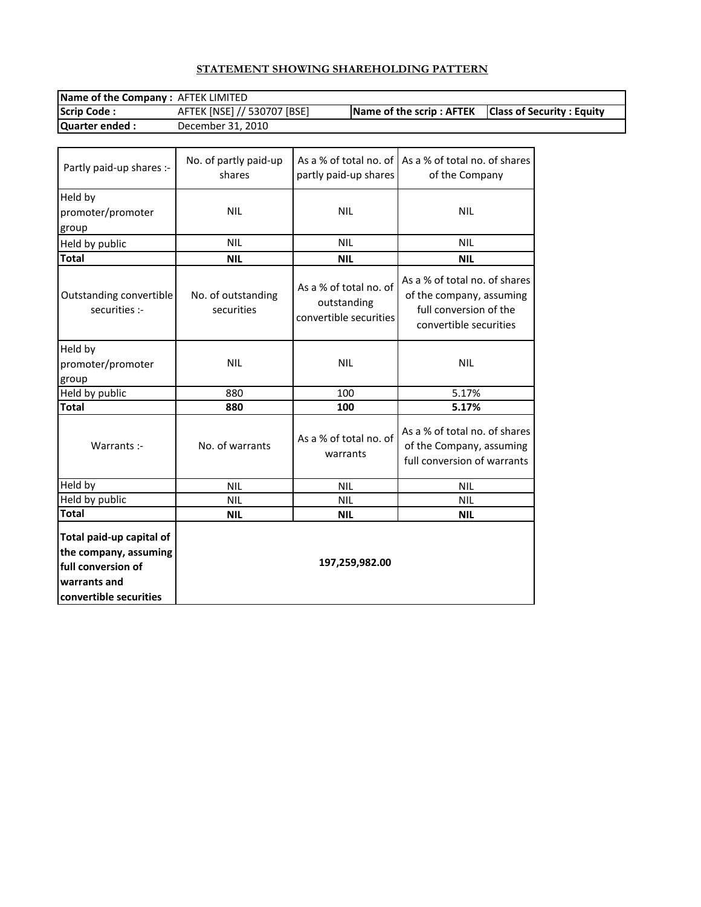# **STATEMENT SHOWING SHAREHOLDING PATTERN**

| <b>Name of the Company: AFTEK LIMITED</b> |                             |                                                        |  |  |  |
|-------------------------------------------|-----------------------------|--------------------------------------------------------|--|--|--|
| <b>Scrip Code:</b>                        | AFTEK [NSE] // 530707 [BSE] | Name of the scrip : AFTEK   Class of Security : Equity |  |  |  |
| Quarter ended :                           | December 31, 2010           |                                                        |  |  |  |

| Partly paid-up shares :-                                                                                          | No. of partly paid-up<br>shares  | As a % of total no. of<br>partly paid-up shares                 | As a % of total no, of shares<br>of the Company                                                               |
|-------------------------------------------------------------------------------------------------------------------|----------------------------------|-----------------------------------------------------------------|---------------------------------------------------------------------------------------------------------------|
| Held by<br>promoter/promoter<br>group                                                                             | <b>NIL</b>                       | <b>NIL</b>                                                      | <b>NIL</b>                                                                                                    |
| Held by public                                                                                                    | <b>NIL</b>                       | <b>NIL</b>                                                      | <b>NIL</b>                                                                                                    |
| <b>Total</b>                                                                                                      | <b>NIL</b>                       | <b>NIL</b>                                                      | <b>NIL</b>                                                                                                    |
| Outstanding convertible<br>securities :-                                                                          | No. of outstanding<br>securities | As a % of total no. of<br>outstanding<br>convertible securities | As a % of total no. of shares<br>of the company, assuming<br>full conversion of the<br>convertible securities |
| Held by<br>promoter/promoter<br>group                                                                             | <b>NIL</b>                       | <b>NIL</b>                                                      | <b>NIL</b>                                                                                                    |
| Held by public                                                                                                    | 880                              | 100                                                             | 5.17%                                                                                                         |
| <b>Total</b>                                                                                                      | 880                              | 100                                                             | 5.17%                                                                                                         |
| Warrants :-                                                                                                       | No. of warrants                  | As a % of total no. of<br>warrants                              | As a % of total no. of shares<br>of the Company, assuming<br>full conversion of warrants                      |
| Held by                                                                                                           | <b>NIL</b>                       | <b>NIL</b>                                                      | <b>NIL</b>                                                                                                    |
| Held by public                                                                                                    | <b>NIL</b>                       | <b>NIL</b>                                                      | <b>NIL</b>                                                                                                    |
| Total                                                                                                             | <b>NIL</b>                       | <b>NIL</b>                                                      | <b>NIL</b>                                                                                                    |
| Total paid-up capital of<br>the company, assuming<br>full conversion of<br>warrants and<br>convertible securities |                                  | 197,259,982.00                                                  |                                                                                                               |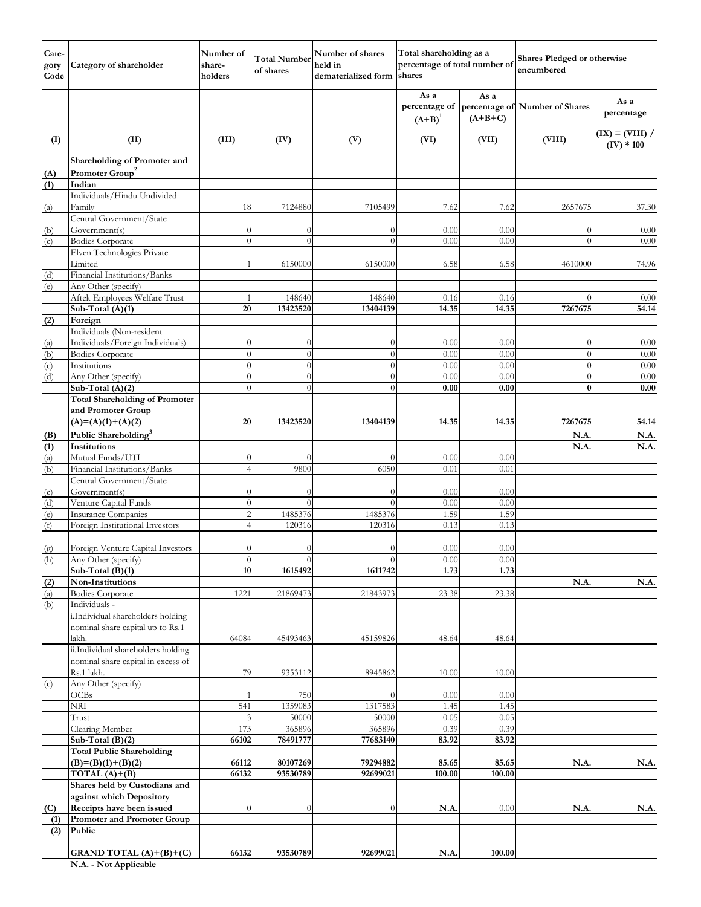| Cate-<br>gory<br>Code | Category of shareholder                                     | Number of<br>share-<br>holders | <b>Total Number</b><br>of shares | Number of shares<br>held in<br>dematerialized form shares | Total shareholding as a<br>percentage of total number of |                   | Shares Pledged or otherwise<br>encumbered |                                   |
|-----------------------|-------------------------------------------------------------|--------------------------------|----------------------------------|-----------------------------------------------------------|----------------------------------------------------------|-------------------|-------------------------------------------|-----------------------------------|
|                       |                                                             |                                |                                  |                                                           | As a<br>percentage of<br>$(A+B)^1$                       | As a<br>$(A+B+C)$ | percentage of Number of Shares            | As a<br>percentage                |
| (I)                   | (II)                                                        | (III)                          | (IV)                             | (V)                                                       | (VI)                                                     | (VII)             | (VIII)                                    | $(IX) = (VIII) /$<br>$(IV) * 100$ |
|                       | Shareholding of Promoter and<br>Promoter Group <sup>2</sup> |                                |                                  |                                                           |                                                          |                   |                                           |                                   |
| (A)<br>(1)            | Indian                                                      |                                |                                  |                                                           |                                                          |                   |                                           |                                   |
|                       | Individuals/Hindu Undivided                                 |                                |                                  |                                                           |                                                          |                   |                                           |                                   |
| (a)                   | Family                                                      | 18                             | 7124880                          | 7105499                                                   | 7.62                                                     | 7.62              | 2657675                                   | 37.30                             |
| (b)                   | Central Government/State<br>Government(s)                   | $\theta$                       | $\left( \right)$                 | $\theta$                                                  | 0.00                                                     | 0.00              | 0                                         | 0.00                              |
| (c)                   | <b>Bodies Corporate</b>                                     | $\theta$                       | $\Omega$                         | $\overline{0}$                                            | 0.00                                                     | 0.00              | $\Omega$                                  | 0.00                              |
|                       | Elven Technologies Private                                  |                                |                                  |                                                           |                                                          |                   |                                           |                                   |
|                       | Limited                                                     | 1                              | 6150000                          | 6150000                                                   | 6.58                                                     | 6.58              | 4610000                                   | 74.96                             |
| (d)                   | Financial Institutions/Banks                                |                                |                                  |                                                           |                                                          |                   |                                           |                                   |
| (e)                   | Any Other (specify)<br>Aftek Employees Welfare Trust        | $\mathbf{1}$                   | 148640                           | 148640                                                    | 0.16                                                     | 0.16              | $\Omega$                                  |                                   |
|                       | Sub-Total (A)(1)                                            | 20                             | 13423520                         | 13404139                                                  | 14.35                                                    | 14.35             | 7267675                                   | 0.00<br>54.14                     |
| (2)                   | Foreign                                                     |                                |                                  |                                                           |                                                          |                   |                                           |                                   |
|                       | Individuals (Non-resident                                   |                                |                                  |                                                           |                                                          |                   |                                           |                                   |
| (a)                   | Individuals/Foreign Individuals)                            | $\theta$                       | $\theta$                         | $\theta$                                                  | 0.00                                                     | 0.00              | $\theta$                                  | 0.00                              |
| (b)                   | <b>Bodies Corporate</b>                                     | $\theta$                       | $\Omega$                         | $\theta$                                                  | 0.00                                                     | 0.00              | $\overline{0}$                            | 0.00                              |
| (c)                   | Institutions                                                | $\theta$                       | $\Omega$                         | $\theta$                                                  | 0.00                                                     | 0.00              | $\theta$                                  | 0.00                              |
| (d)                   | Any Other (specify)                                         | $\theta$                       | $\Omega$                         | $\theta$                                                  | 0.00                                                     | 0.00              | $\theta$                                  | 0.00                              |
|                       | Sub-Total (A)(2)                                            | $\theta$                       | $\Omega$                         | $\theta$                                                  | 0.00                                                     | 0.00              | $\bf{0}$                                  | 0.00                              |
|                       | <b>Total Shareholding of Promoter</b>                       |                                |                                  |                                                           |                                                          |                   |                                           |                                   |
|                       | and Promoter Group                                          |                                |                                  |                                                           |                                                          |                   |                                           |                                   |
|                       | $(A)=(A)(1)+(A)(2)$                                         | 20                             | 13423520                         | 13404139                                                  | 14.35                                                    | 14.35             | 7267675                                   | 54.14                             |
| (B)                   | Public Shareholding <sup>3</sup>                            |                                |                                  |                                                           |                                                          |                   | N.A.                                      | N.A.                              |
| (1)<br>(a)            | Institutions<br>Mutual Funds/UTI                            | $\overline{0}$                 | $\Omega$                         | $\theta$                                                  | 0.00                                                     | 0.00              | N.A                                       | N.A                               |
| (b)                   | Financial Institutions/Banks                                | $\overline{4}$                 | 9800                             | 6050                                                      | 0.01                                                     | 0.01              |                                           |                                   |
|                       | Central Government/State                                    |                                |                                  |                                                           |                                                          |                   |                                           |                                   |
| (c)                   | Government(s)                                               |                                | $\theta$                         | $\theta$                                                  | 0.00                                                     | 0.00              |                                           |                                   |
| (d)                   | Venture Capital Funds                                       | $\sqrt{ }$                     | $\theta$                         | $\overline{0}$                                            | 0.00                                                     | 0.00              |                                           |                                   |
| (e)                   | <b>Insurance Companies</b>                                  | $\overline{2}$                 | 1485376                          | 1485376                                                   | 1.59                                                     | 1.59              |                                           |                                   |
| (f)                   | Foreign Institutional Investors                             | $\overline{4}$                 | 120316                           | 120316                                                    | 0.13                                                     | 0.13              |                                           |                                   |
|                       |                                                             |                                |                                  |                                                           |                                                          |                   |                                           |                                   |
| (g)                   | Foreign Venture Capital Investors                           |                                | $\Omega$                         | $\mathbf{0}$                                              | 0.00                                                     | 0.00              |                                           |                                   |
| (h)                   | Any Other (specify)                                         | $\theta$<br>10                 | $\Omega$<br>1615492              | $\theta$<br>1611742                                       | 0.00<br>1.73                                             | 0.00<br>1.73      |                                           |                                   |
| (2)                   | Sub-Total $(B)(1)$<br>Non-Institutions                      |                                |                                  |                                                           |                                                          |                   | N.A.                                      | N.A.                              |
| (a)                   | <b>Bodies Corporate</b>                                     | 1221                           | 21869473                         | 21843973                                                  | 23.38                                                    | 23.38             |                                           |                                   |
| (b)                   | Individuals -                                               |                                |                                  |                                                           |                                                          |                   |                                           |                                   |
|                       | i.Individual shareholders holding                           |                                |                                  |                                                           |                                                          |                   |                                           |                                   |
|                       | nominal share capital up to Rs.1                            |                                |                                  |                                                           |                                                          |                   |                                           |                                   |
|                       | lakh.                                                       | 64084                          | 45493463                         | 45159826                                                  | 48.64                                                    | 48.64             |                                           |                                   |
|                       | ii.Individual shareholders holding                          |                                |                                  |                                                           |                                                          |                   |                                           |                                   |
|                       | nominal share capital in excess of                          |                                |                                  |                                                           |                                                          |                   |                                           |                                   |
|                       | Rs.1 lakh.<br>Any Other (specify)                           | 79                             | 9353112                          | 8945862                                                   | 10.00                                                    | 10.00             |                                           |                                   |
| (c)                   | OCBs                                                        | 1                              | 750                              | $\theta$                                                  | 0.00                                                     | 0.00              |                                           |                                   |
|                       | $\rm{NRI}$                                                  | 541                            | 1359083                          | 1317583                                                   | 1.45                                                     | 1.45              |                                           |                                   |
|                       | Trust                                                       | 3                              | 50000                            | 50000                                                     | 0.05                                                     | 0.05              |                                           |                                   |
|                       | Clearing Member                                             | 173                            | 365896                           | 365896                                                    | 0.39                                                     | 0.39              |                                           |                                   |
|                       | Sub-Total (B)(2)                                            | 66102                          | 78491777                         | 77683140                                                  | 83.92                                                    | 83.92             |                                           |                                   |
|                       | <b>Total Public Shareholding</b>                            |                                |                                  |                                                           |                                                          |                   |                                           |                                   |
|                       | $(B)=(B)(1)+(B)(2)$                                         | 66112                          | 80107269                         | 79294882                                                  | 85.65                                                    | 85.65             | N.A.                                      | N.A.                              |
|                       | TOTAL $(A)+(B)$                                             | 66132                          | 93530789                         | 92699021                                                  | 100.00                                                   | 100.00            |                                           |                                   |
|                       | Shares held by Custodians and<br>against which Depository   |                                |                                  |                                                           |                                                          |                   |                                           |                                   |
| (C)                   | Receipts have been issued                                   | $\theta$                       | $\Omega$                         | $\mathbf{0}$                                              | N.A                                                      | 0.00              | N.A.                                      | N.A.                              |
| (1)                   | <b>Promoter and Promoter Group</b>                          |                                |                                  |                                                           |                                                          |                   |                                           |                                   |
| (2)                   | Public                                                      |                                |                                  |                                                           |                                                          |                   |                                           |                                   |
|                       |                                                             |                                |                                  |                                                           |                                                          |                   |                                           |                                   |
|                       | GRAND TOTAL $(A)+(B)+(C)$                                   | 66132                          | 93530789                         | 92699021                                                  | N.A.                                                     | 100.00            |                                           |                                   |

**N.A. - Not Applicable**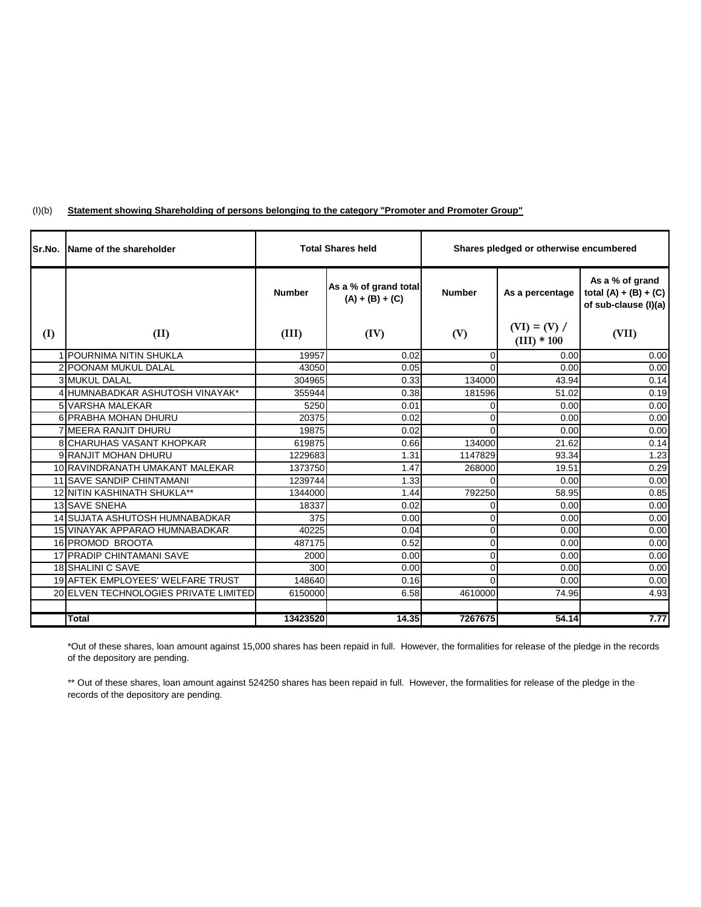| Sr.No. | Name of the shareholder                  | <b>Total Shares held</b> |                                            | Shares pledged or otherwise encumbered |                                 |                                                                    |  |
|--------|------------------------------------------|--------------------------|--------------------------------------------|----------------------------------------|---------------------------------|--------------------------------------------------------------------|--|
|        |                                          | <b>Number</b>            | As a % of grand total<br>$(A) + (B) + (C)$ | <b>Number</b>                          | As a percentage                 | As a % of grand<br>total $(A) + (B) + (C)$<br>of sub-clause (I)(a) |  |
| (I)    | (II)                                     | (III)                    | (IV)                                       | (V)                                    | $(VI) = (V) /$<br>$(III) * 100$ | (VII)                                                              |  |
|        | 1 POURNIMA NITIN SHUKLA                  | 19957                    | 0.02                                       | $\Omega$                               | 0.00                            | 0.00                                                               |  |
|        | 2 POONAM MUKUL DALAL                     | 43050                    | 0.05                                       | $\Omega$                               | 0.00                            | 0.00                                                               |  |
|        | <b>3 MUKUL DALAL</b>                     | 304965                   | 0.33                                       | 134000                                 | 43.94                           | 0.14                                                               |  |
|        | 4 HUMNABADKAR ASHUTOSH VINAYAK*          | 355944                   | 0.38                                       | 181596                                 | 51.02                           | 0.19                                                               |  |
|        | 5 VARSHA MALEKAR                         | 5250                     | 0.01                                       | $\Omega$                               | 0.00                            | 0.00                                                               |  |
|        | 6 PRABHA MOHAN DHURU                     | 20375                    | 0.02                                       | $\Omega$                               | 0.00                            | 0.00                                                               |  |
|        | <b>7 MEERA RANJIT DHURU</b>              | 19875                    | 0.02                                       | $\Omega$                               | 0.00                            | 0.00                                                               |  |
|        | <b>8 CHARUHAS VASANT KHOPKAR</b>         | 619875                   | 0.66                                       | 134000                                 | 21.62                           | 0.14                                                               |  |
|        | 9 RANJIT MOHAN DHURU                     | 1229683                  | 1.31                                       | 1147829                                | 93.34                           | 1.23                                                               |  |
|        | 10 RAVINDRANATH UMAKANT MALEKAR          | 1373750                  | 1.47                                       | 268000                                 | 19.51                           | 0.29                                                               |  |
|        | <b>11 SAVE SANDIP CHINTAMANI</b>         | 1239744                  | 1.33                                       | $\Omega$                               | 0.00                            | 0.00                                                               |  |
|        | 12 NITIN KASHINATH SHUKLA**              | 1344000                  | 1.44                                       | 792250                                 | 58.95                           | 0.85                                                               |  |
|        | <b>13 SAVE SNEHA</b>                     | 18337                    | 0.02                                       | 0                                      | 0.00                            | 0.00                                                               |  |
|        | 14 SUJATA ASHUTOSH HUMNABADKAR           | 375                      | 0.00                                       | $\Omega$                               | 0.00                            | 0.00                                                               |  |
|        | 15 VINAYAK APPARAO HUMNABADKAR           | 40225                    | 0.04                                       | $\Omega$                               | 0.00                            | 0.00                                                               |  |
|        | 16 PROMOD BROOTA                         | 487175                   | 0.52                                       | $\overline{0}$                         | 0.00                            | 0.00                                                               |  |
|        | 17 PRADIP CHINTAMANI SAVE                | 2000                     | 0.00                                       | $\Omega$                               | 0.00                            | 0.00                                                               |  |
|        | 18 SHALINI C SAVE                        | 300                      | 0.00                                       | $\Omega$                               | 0.00                            | 0.00                                                               |  |
|        | <b>19 AFTEK EMPLOYEES' WELFARE TRUST</b> | 148640                   | 0.16                                       | $\Omega$                               | 0.00                            | 0.00                                                               |  |
|        | 20 ELVEN TECHNOLOGIES PRIVATE LIMITED    | 6150000                  | 6.58                                       | 4610000                                | 74.96                           | 4.93                                                               |  |
|        |                                          |                          |                                            |                                        |                                 |                                                                    |  |
|        | <b>Total</b>                             | 13423520                 | 14.35                                      | 7267675                                | 54.14                           | 7.77                                                               |  |

#### $(I)(b)$ **Statement showing Shareholding of persons belonging to the category "Promoter and Promoter Group"**

\*Out of these shares, loan amount against 15,000 shares has been repaid in full. However, the formalities for release of the pledge in the records of the depository are pending.

\*\* Out of these shares, loan amount against 524250 shares has been repaid in full. However, the formalities for release of the pledge in the records of the depository are pending.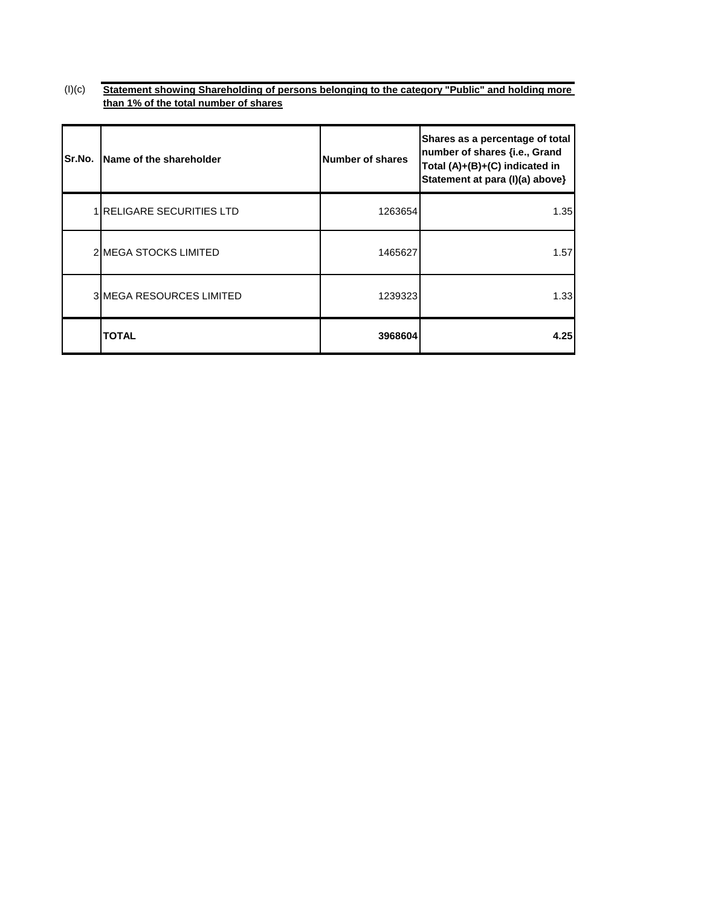$(l)(c)$ **Statement showing Shareholding of persons belonging to the category "Public" and holding more than 1% of the total number of shares**

| Sr.No. | Name of the shareholder          | Number of shares | Shares as a percentage of total<br>number of shares {i.e., Grand<br>Total (A)+(B)+(C) indicated in<br>Statement at para (I)(a) above} |
|--------|----------------------------------|------------------|---------------------------------------------------------------------------------------------------------------------------------------|
|        | <b>1 RELIGARE SECURITIES LTD</b> | 1263654          | 1.35                                                                                                                                  |
|        | <b>2IMEGA STOCKS LIMITED</b>     | 1465627          | 1.57                                                                                                                                  |
|        | <b>3IMEGA RESOURCES LIMITED</b>  | 1239323          | 1.33                                                                                                                                  |
|        | TOTAL                            | 3968604          | 4.25                                                                                                                                  |